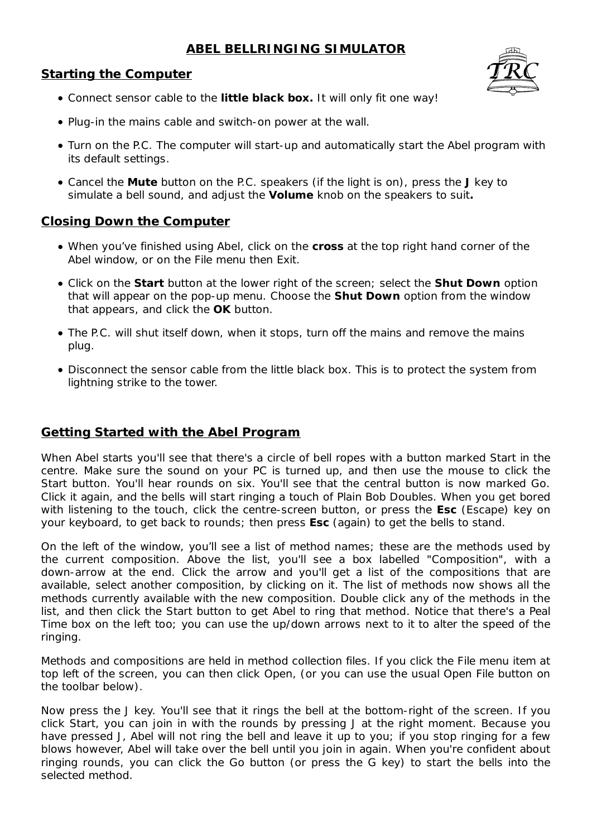# **ABEL BELLRINGING SIMULATOR**

## **Starting the Computer**



- Connect sensor cable to the *little black box***.** It will only fit one way!
- Plug-in the mains cable and switch-on power at the wall.
- Turn on the P.C. The computer will start-up and automatically start the Abel program with its default settings.
- Cancel the *Mute* button on the P.C. speakers (if the light is on), press the **J** key to simulate a bell sound, and adjust the *Volume* knob on the speakers to suit*.*

## **Closing Down the Computer**

- When you've finished using Abel, click on the *cross* at the top right hand corner of the Abel window, or on the File menu then Exit.
- Click on the *Start* button at the lower right of the screen; select the *Shut Down* option that will appear on the pop-up menu. Choose the *Shut Down* option from the window that appears, and click the *OK* button.
- The P.C. will shut itself down, when it stops, turn off the mains and remove the mains plug.
- Disconnect the sensor cable from the little black box. This is to protect the system from lightning strike to the tower.

## **Getting Started with the Abel Program**

When Abel starts you'll see that there's a circle of bell ropes with a button marked Start in the centre. Make sure the sound on your PC is turned up, and then use the mouse to click the Start button. You'll hear rounds on six. You'll see that the central button is now marked Go. Click it again, and the bells will start ringing a touch of Plain Bob Doubles. When you get bored with listening to the touch, click the centre-screen button, or press the **Esc** (Escape) key on your keyboard, to get back to rounds; then press **Esc** (again) to get the bells to stand.

On the left of the window, you'll see a list of method names; these are the methods used by the current composition. Above the list, you'll see a box labelled "Composition", with a down-arrow at the end. Click the arrow and you'll get a list of the compositions that are available, select another composition, by clicking on it. The list of methods now shows all the methods currently available with the new composition. Double click any of the methods in the list, and then click the Start button to get Abel to ring that method. Notice that there's a Peal Time box on the left too; you can use the up/down arrows next to it to alter the speed of the ringing.

Methods and compositions are held in method collection files. If you click the File menu item at top left of the screen, you can then click Open, (or you can use the usual Open File button on the toolbar below).

Now press the J key. You'll see that it rings the bell at the bottom-right of the screen. If you click Start, you can join in with the rounds by pressing J at the right moment. Because you have pressed J, Abel will not ring the bell and leave it up to you; if you stop ringing for a few blows however, Abel will take over the bell until you join in again. When you're confident about ringing rounds, you can click the Go button (or press the G key) to start the bells into the selected method.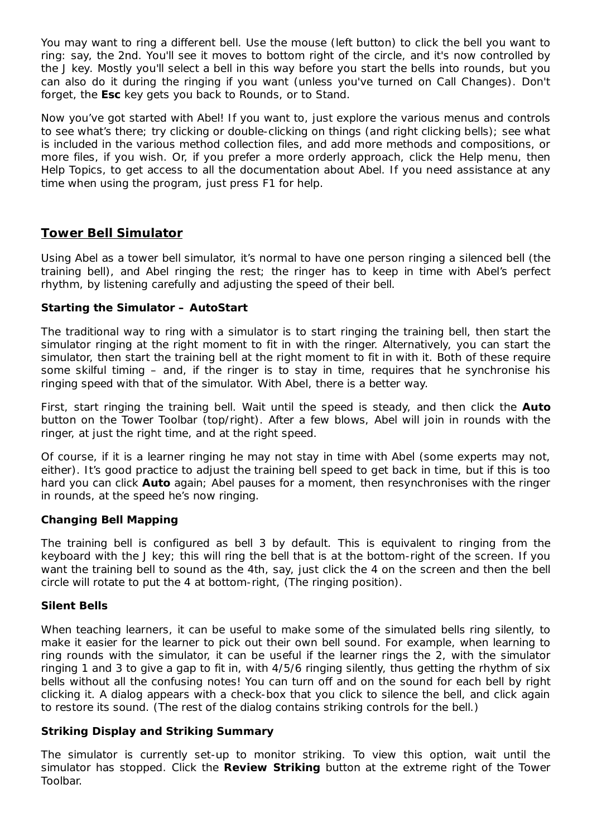You may want to ring a different bell. Use the mouse (left button) to click the bell you want to ring: say, the 2nd. You'll see it moves to bottom right of the circle, and it's now controlled by the J key. Mostly you'll select a bell in this way before you start the bells into rounds, but you can also do it during the ringing if you want (unless you've turned on Call Changes). Don't forget, the **Esc** key gets you back to Rounds, or to Stand.

Now you've got started with Abel! If you want to, just explore the various menus and controls to see what's there; try clicking or double-clicking on things (and right clicking bells); see what is included in the various method collection files, and add more methods and compositions, or more files, if you wish. Or, if you prefer a more orderly approach, click the Help menu, then Help Topics, to get access to all the documentation about Abel. If you need assistance at any time when using the program, just press F1 for help.

## **Tower Bell Simulator**

Using Abel as a tower bell simulator, it's normal to have one person ringing a silenced bell (the training bell), and Abel ringing the rest; the ringer has to keep in time with Abel's perfect rhythm, by listening carefully and adjusting the speed of their bell.

### **Starting the Simulator – AutoStart**

The traditional way to ring with a simulator is to start ringing the training bell, then start the simulator ringing at the right moment to fit in with the ringer. Alternatively, you can start the simulator, then start the training bell at the right moment to fit in with it. Both of these require some skilful timing – and, if the ringer is to stay in time, requires that he synchronise his ringing speed with that of the simulator. With Abel, there is a better way.

First, start ringing the training bell. Wait until the speed is steady, and then click the **Auto** button on the Tower Toolbar (top/right). After a few blows, Abel will join in rounds with the ringer, at just the right time, and at the right speed.

Of course, if it is a learner ringing he may not stay in time with Abel (some experts may not, either). It's good practice to adjust the training bell speed to get back in time, but if this is too hard you can click **Auto** again; Abel pauses for a moment, then resynchronises with the ringer in rounds, at the speed he's now ringing.

#### **Changing Bell Mapping**

The training bell is configured as bell 3 by default. This is equivalent to ringing from the keyboard with the J key; this will ring the bell that is at the bottom-right of the screen. If you want the training bell to sound as the 4th, say, just click the 4 on the screen and then the bell circle will rotate to put the 4 at bottom-right, (The ringing position).

#### **Silent Bells**

When teaching learners, it can be useful to make some of the simulated bells ring silently, to make it easier for the learner to pick out their own bell sound. For example, when learning to ring rounds with the simulator, it can be useful if the learner rings the 2, with the simulator ringing 1 and 3 to give a gap to fit in, with 4/5/6 ringing silently, thus getting the rhythm of six bells without all the confusing notes! You can turn off and on the sound for each bell by right clicking it. A dialog appears with a check-box that you click to silence the bell, and click again to restore its sound. (The rest of the dialog contains striking controls for the bell.)

#### **Striking Display and Striking Summary**

The simulator is currently set-up to monitor striking. To view this option, wait until the simulator has stopped. Click the **Review Striking** button at the extreme right of the Tower Toolbar.